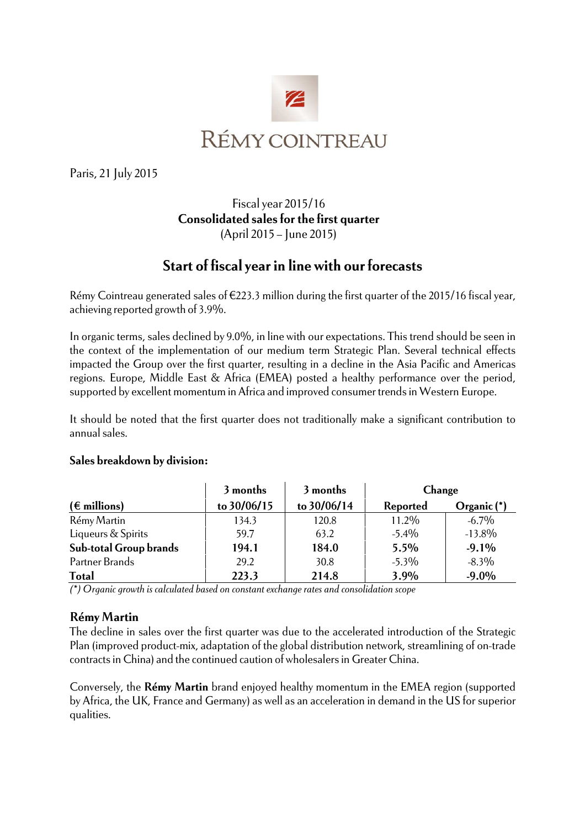

Paris, 21 July 2015

## Fiscal year 2015/16 **Consolidated sales for the first quarter**  (April 2015 – June 2015)

# **Start of fiscal year in line with our forecasts**

Rémy Cointreau generated sales of €223.3 million during the first quarter of the 2015/16 fiscal year, achieving reported growth of 3.9%.

In organic terms, sales declined by 9.0%, in line with our expectations. This trend should be seen in the context of the implementation of our medium term Strategic Plan. Several technical effects impacted the Group over the first quarter, resulting in a decline in the Asia Pacific and Americas regions. Europe, Middle East & Africa (EMEA) posted a healthy performance over the period, supported by excellent momentum in Africa and improved consumer trends in Western Europe.

It should be noted that the first quarter does not traditionally make a significant contribution to annual sales.

#### **Sales breakdown by division:**

|                               | 3 months    | 3 months    | Change   |             |
|-------------------------------|-------------|-------------|----------|-------------|
| $(\epsilon$ millions)         | to 30/06/15 | to 30/06/14 | Reported | Organic (*) |
| Rémy Martin                   | 134.3       | 120.8       | 11.2%    | $-6.7\%$    |
| Liqueurs & Spirits            | 59.7        | 63.2        | $-5.4\%$ | $-13.8\%$   |
| <b>Sub-total Group brands</b> | 194.1       | 184.0       | 5.5%     | $-9.1%$     |
| Partner Brands                | 29.2        | 30.8        | $-5.3\%$ | $-8.3\%$    |
| <b>Total</b>                  | 223.3       | 214.8       | 3.9%     | $-9.0%$     |

*(\*) Organic growth is calculated based on constant exchange rates and consolidation scope* 

### **Rémy Martin**

The decline in sales over the first quarter was due to the accelerated introduction of the Strategic Plan (improved product-mix, adaptation of the global distribution network, streamlining of on-trade contracts in China) and the continued caution of wholesalers in Greater China.

Conversely, the **Rémy Martin** brand enjoyed healthy momentum in the EMEA region (supported by Africa, the UK, France and Germany) as well as an acceleration in demand in the US for superior qualities.